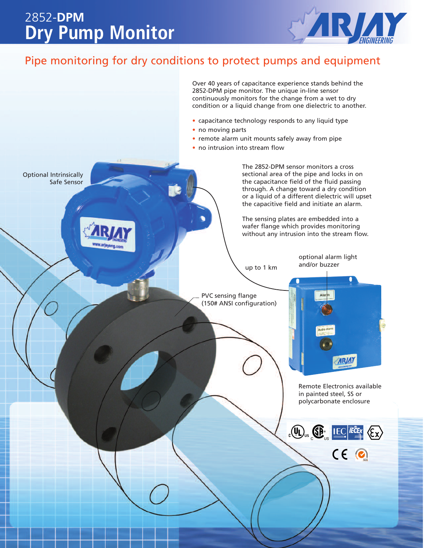## **Dry Pump Monitor** 2852-**DPM**



### Pipe monitoring for dry conditions to protect pumps and equipment